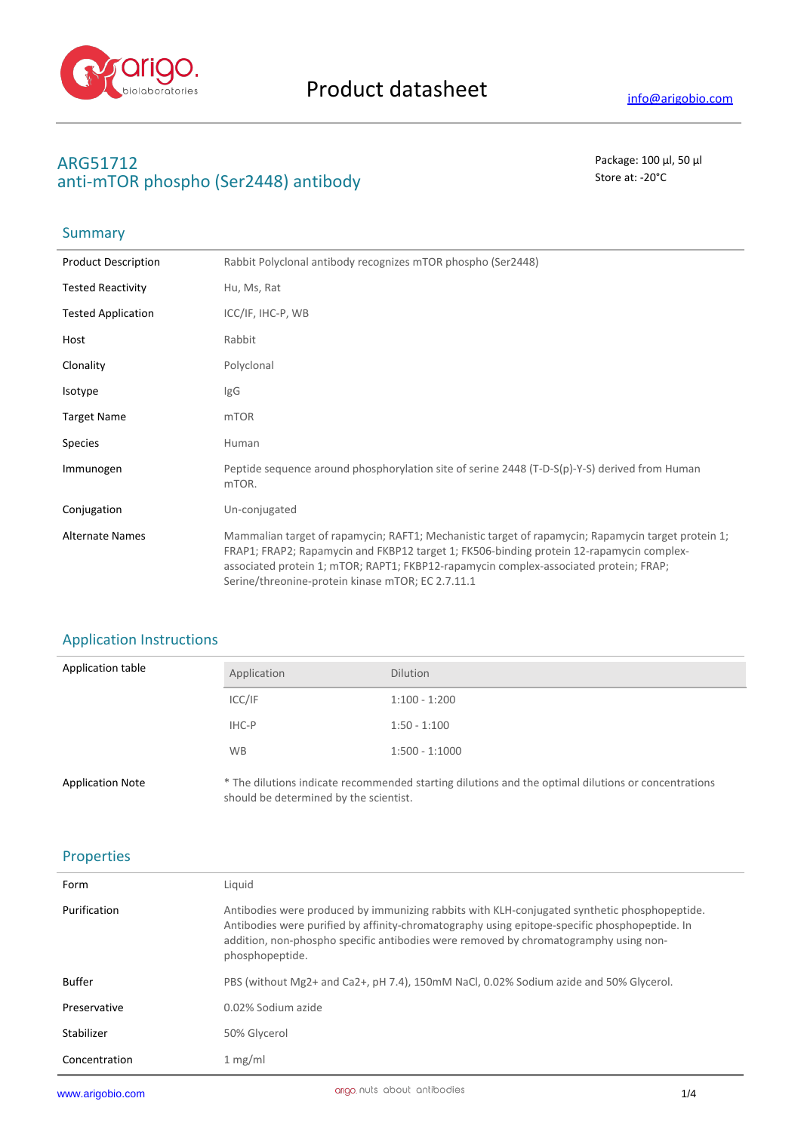

# **ARG51712** Package: 100 μl, 50 μl anti-mTOR phospho (Ser2448) antibody antibody store at: -20<sup>°</sup>C

## **Summary**

| <b>Product Description</b> | Rabbit Polyclonal antibody recognizes mTOR phospho (Ser2448)                                                                                                                                                                                                                                                                                 |
|----------------------------|----------------------------------------------------------------------------------------------------------------------------------------------------------------------------------------------------------------------------------------------------------------------------------------------------------------------------------------------|
| <b>Tested Reactivity</b>   | Hu, Ms, Rat                                                                                                                                                                                                                                                                                                                                  |
| <b>Tested Application</b>  | ICC/IF, IHC-P, WB                                                                                                                                                                                                                                                                                                                            |
| Host                       | Rabbit                                                                                                                                                                                                                                                                                                                                       |
| Clonality                  | Polyclonal                                                                                                                                                                                                                                                                                                                                   |
| Isotype                    | IgG                                                                                                                                                                                                                                                                                                                                          |
| <b>Target Name</b>         | mTOR                                                                                                                                                                                                                                                                                                                                         |
| <b>Species</b>             | Human                                                                                                                                                                                                                                                                                                                                        |
| Immunogen                  | Peptide sequence around phosphorylation site of serine 2448 (T-D-S(p)-Y-S) derived from Human<br>mTOR.                                                                                                                                                                                                                                       |
| Conjugation                | Un-conjugated                                                                                                                                                                                                                                                                                                                                |
| <b>Alternate Names</b>     | Mammalian target of rapamycin; RAFT1; Mechanistic target of rapamycin; Rapamycin target protein 1;<br>FRAP1; FRAP2; Rapamycin and FKBP12 target 1; FK506-binding protein 12-rapamycin complex-<br>associated protein 1; mTOR; RAPT1; FKBP12-rapamycin complex-associated protein; FRAP;<br>Serine/threonine-protein kinase mTOR; EC 2.7.11.1 |

## Application Instructions

| Application table       | Application                            | <b>Dilution</b>                                                                                     |
|-------------------------|----------------------------------------|-----------------------------------------------------------------------------------------------------|
|                         | ICC/IF                                 | $1:100 - 1:200$                                                                                     |
|                         | IHC-P                                  | $1:50 - 1:100$                                                                                      |
|                         | <b>WB</b>                              | $1:500 - 1:1000$                                                                                    |
| <b>Application Note</b> | should be determined by the scientist. | * The dilutions indicate recommended starting dilutions and the optimal dilutions or concentrations |

### Properties

| Form          | Liquid                                                                                                                                                                                                                                                                                                   |
|---------------|----------------------------------------------------------------------------------------------------------------------------------------------------------------------------------------------------------------------------------------------------------------------------------------------------------|
| Purification  | Antibodies were produced by immunizing rabbits with KLH-conjugated synthetic phosphopeptide.<br>Antibodies were purified by affinity-chromatography using epitope-specific phosphopeptide. In<br>addition, non-phospho specific antibodies were removed by chromatogramphy using non-<br>phosphopeptide. |
| Buffer        | PBS (without Mg2+ and Ca2+, pH 7.4), 150mM NaCl, 0.02% Sodium azide and 50% Glycerol.                                                                                                                                                                                                                    |
| Preservative  | 0.02% Sodium azide                                                                                                                                                                                                                                                                                       |
| Stabilizer    | 50% Glycerol                                                                                                                                                                                                                                                                                             |
| Concentration | 1 mg/ml                                                                                                                                                                                                                                                                                                  |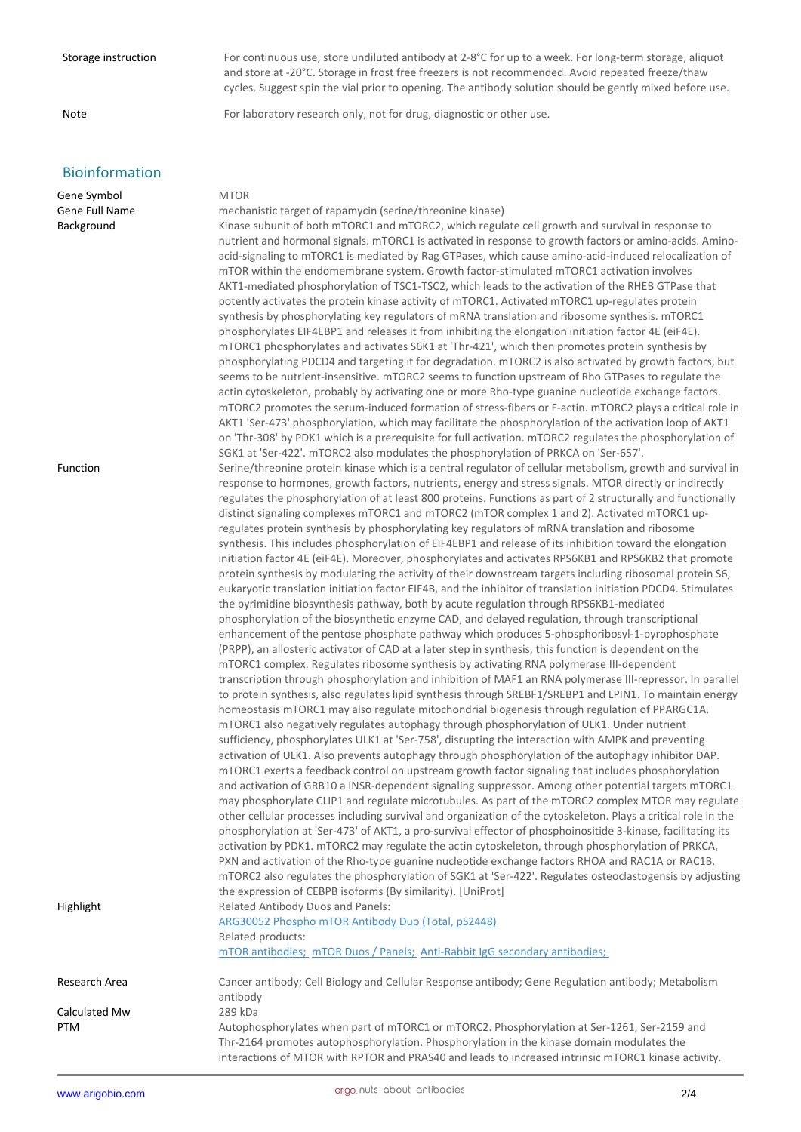Storage instruction For continuous use, store undiluted antibody at 2-8°C for up to a week. For long-term storage, aliquot and store at -20°C. Storage in frost free freezers is not recommended. Avoid repeated freeze/thaw cycles. Suggest spin the vial prior to opening. The antibody solution should be gently mixed before use.

Note **For laboratory research only, not for drug, diagnostic or other use.** 

## Bioinformation

Gene Symbol MTOR Gene Full Name mechanistic target of rapamycin (serine/threonine kinase) Background Kinase subunit of both mTORC1 and mTORC2, which regulate cell growth and survival in response to

| Function      | nutrient and hormonal signals. mTORC1 is activated in response to growth factors or amino-acids. Amino-<br>acid-signaling to mTORC1 is mediated by Rag GTPases, which cause amino-acid-induced relocalization of<br>mTOR within the endomembrane system. Growth factor-stimulated mTORC1 activation involves<br>AKT1-mediated phosphorylation of TSC1-TSC2, which leads to the activation of the RHEB GTPase that<br>potently activates the protein kinase activity of mTORC1. Activated mTORC1 up-regulates protein<br>synthesis by phosphorylating key regulators of mRNA translation and ribosome synthesis. mTORC1<br>phosphorylates EIF4EBP1 and releases it from inhibiting the elongation initiation factor 4E (eiF4E).<br>mTORC1 phosphorylates and activates S6K1 at 'Thr-421', which then promotes protein synthesis by<br>phosphorylating PDCD4 and targeting it for degradation. mTORC2 is also activated by growth factors, but<br>seems to be nutrient-insensitive. mTORC2 seems to function upstream of Rho GTPases to regulate the<br>actin cytoskeleton, probably by activating one or more Rho-type guanine nucleotide exchange factors.<br>mTORC2 promotes the serum-induced formation of stress-fibers or F-actin. mTORC2 plays a critical role in<br>AKT1 'Ser-473' phosphorylation, which may facilitate the phosphorylation of the activation loop of AKT1<br>on 'Thr-308' by PDK1 which is a prerequisite for full activation. mTORC2 regulates the phosphorylation of<br>SGK1 at 'Ser-422'. mTORC2 also modulates the phosphorylation of PRKCA on 'Ser-657'.<br>Serine/threonine protein kinase which is a central regulator of cellular metabolism, growth and survival in<br>response to hormones, growth factors, nutrients, energy and stress signals. MTOR directly or indirectly<br>regulates the phosphorylation of at least 800 proteins. Functions as part of 2 structurally and functionally<br>distinct signaling complexes mTORC1 and mTORC2 (mTOR complex 1 and 2). Activated mTORC1 up-<br>regulates protein synthesis by phosphorylating key regulators of mRNA translation and ribosome<br>synthesis. This includes phosphorylation of EIF4EBP1 and release of its inhibition toward the elongation<br>initiation factor 4E (eiF4E). Moreover, phosphorylates and activates RPS6KB1 and RPS6KB2 that promote<br>protein synthesis by modulating the activity of their downstream targets including ribosomal protein S6,<br>eukaryotic translation initiation factor EIF4B, and the inhibitor of translation initiation PDCD4. Stimulates<br>the pyrimidine biosynthesis pathway, both by acute regulation through RPS6KB1-mediated<br>phosphorylation of the biosynthetic enzyme CAD, and delayed regulation, through transcriptional<br>enhancement of the pentose phosphate pathway which produces 5-phosphoribosyl-1-pyrophosphate<br>(PRPP), an allosteric activator of CAD at a later step in synthesis, this function is dependent on the<br>mTORC1 complex. Regulates ribosome synthesis by activating RNA polymerase III-dependent<br>transcription through phosphorylation and inhibition of MAF1 an RNA polymerase III-repressor. In parallel<br>to protein synthesis, also regulates lipid synthesis through SREBF1/SREBP1 and LPIN1. To maintain energy<br>homeostasis mTORC1 may also regulate mitochondrial biogenesis through regulation of PPARGC1A.<br>mTORC1 also negatively regulates autophagy through phosphorylation of ULK1. Under nutrient<br>sufficiency, phosphorylates ULK1 at 'Ser-758', disrupting the interaction with AMPK and preventing<br>activation of ULK1. Also prevents autophagy through phosphorylation of the autophagy inhibitor DAP.<br>mTORC1 exerts a feedback control on upstream growth factor signaling that includes phosphorylation<br>and activation of GRB10 a INSR-dependent signaling suppressor. Among other potential targets mTORC1<br>may phosphorylate CLIP1 and regulate microtubules. As part of the mTORC2 complex MTOR may regulate<br>other cellular processes including survival and organization of the cytoskeleton. Plays a critical role in the<br>phosphorylation at 'Ser-473' of AKT1, a pro-survival effector of phosphoinositide 3-kinase, facilitating its<br>activation by PDK1. mTORC2 may regulate the actin cytoskeleton, through phosphorylation of PRKCA,<br>PXN and activation of the Rho-type guanine nucleotide exchange factors RHOA and RAC1A or RAC1B.<br>mTORC2 also regulates the phosphorylation of SGK1 at 'Ser-422'. Regulates osteoclastogensis by adjusting<br>the expression of CEBPB isoforms (By similarity). [UniProt] |
|---------------|-------------------------------------------------------------------------------------------------------------------------------------------------------------------------------------------------------------------------------------------------------------------------------------------------------------------------------------------------------------------------------------------------------------------------------------------------------------------------------------------------------------------------------------------------------------------------------------------------------------------------------------------------------------------------------------------------------------------------------------------------------------------------------------------------------------------------------------------------------------------------------------------------------------------------------------------------------------------------------------------------------------------------------------------------------------------------------------------------------------------------------------------------------------------------------------------------------------------------------------------------------------------------------------------------------------------------------------------------------------------------------------------------------------------------------------------------------------------------------------------------------------------------------------------------------------------------------------------------------------------------------------------------------------------------------------------------------------------------------------------------------------------------------------------------------------------------------------------------------------------------------------------------------------------------------------------------------------------------------------------------------------------------------------------------------------------------------------------------------------------------------------------------------------------------------------------------------------------------------------------------------------------------------------------------------------------------------------------------------------------------------------------------------------------------------------------------------------------------------------------------------------------------------------------------------------------------------------------------------------------------------------------------------------------------------------------------------------------------------------------------------------------------------------------------------------------------------------------------------------------------------------------------------------------------------------------------------------------------------------------------------------------------------------------------------------------------------------------------------------------------------------------------------------------------------------------------------------------------------------------------------------------------------------------------------------------------------------------------------------------------------------------------------------------------------------------------------------------------------------------------------------------------------------------------------------------------------------------------------------------------------------------------------------------------------------------------------------------------------------------------------------------------------------------------------------------------------------------------------------------------------------------------------------------------------------------------------------------------------------------------------------------------------------------------------------------------------------------------------------------------------------------------------------------------------------------------------------------------------------------------------------------------------------------------------------------------------------------------------------------------------------------------------------------------------------------------------------------------------------------------------------------------------------------------------------------------------------------------------------------------------------------------------------------|
| Highlight     | Related Antibody Duos and Panels:<br>ARG30052 Phospho mTOR Antibody Duo (Total, pS2448)<br>Related products:<br>mTOR antibodies: mTOR Duos / Panels: Anti-Rabbit IgG secondary antibodies;                                                                                                                                                                                                                                                                                                                                                                                                                                                                                                                                                                                                                                                                                                                                                                                                                                                                                                                                                                                                                                                                                                                                                                                                                                                                                                                                                                                                                                                                                                                                                                                                                                                                                                                                                                                                                                                                                                                                                                                                                                                                                                                                                                                                                                                                                                                                                                                                                                                                                                                                                                                                                                                                                                                                                                                                                                                                                                                                                                                                                                                                                                                                                                                                                                                                                                                                                                                                                                                                                                                                                                                                                                                                                                                                                                                                                                                                                                                                                                                                                                                                                                                                                                                                                                                                                                                                                                                                                                                                        |
| Research Area | Cancer antibody; Cell Biology and Cellular Response antibody; Gene Regulation antibody; Metabolism                                                                                                                                                                                                                                                                                                                                                                                                                                                                                                                                                                                                                                                                                                                                                                                                                                                                                                                                                                                                                                                                                                                                                                                                                                                                                                                                                                                                                                                                                                                                                                                                                                                                                                                                                                                                                                                                                                                                                                                                                                                                                                                                                                                                                                                                                                                                                                                                                                                                                                                                                                                                                                                                                                                                                                                                                                                                                                                                                                                                                                                                                                                                                                                                                                                                                                                                                                                                                                                                                                                                                                                                                                                                                                                                                                                                                                                                                                                                                                                                                                                                                                                                                                                                                                                                                                                                                                                                                                                                                                                                                                |
| Calculated Mw | antibody<br>289 kDa                                                                                                                                                                                                                                                                                                                                                                                                                                                                                                                                                                                                                                                                                                                                                                                                                                                                                                                                                                                                                                                                                                                                                                                                                                                                                                                                                                                                                                                                                                                                                                                                                                                                                                                                                                                                                                                                                                                                                                                                                                                                                                                                                                                                                                                                                                                                                                                                                                                                                                                                                                                                                                                                                                                                                                                                                                                                                                                                                                                                                                                                                                                                                                                                                                                                                                                                                                                                                                                                                                                                                                                                                                                                                                                                                                                                                                                                                                                                                                                                                                                                                                                                                                                                                                                                                                                                                                                                                                                                                                                                                                                                                                               |
| PTM           | Autophosphorylates when part of mTORC1 or mTORC2. Phosphorylation at Ser-1261, Ser-2159 and<br>Thr-2164 promotes autophosphorylation. Phosphorylation in the kinase domain modulates the<br>interactions of MTOR with RPTOR and PRAS40 and leads to increased intrinsic mTORC1 kinase activity.                                                                                                                                                                                                                                                                                                                                                                                                                                                                                                                                                                                                                                                                                                                                                                                                                                                                                                                                                                                                                                                                                                                                                                                                                                                                                                                                                                                                                                                                                                                                                                                                                                                                                                                                                                                                                                                                                                                                                                                                                                                                                                                                                                                                                                                                                                                                                                                                                                                                                                                                                                                                                                                                                                                                                                                                                                                                                                                                                                                                                                                                                                                                                                                                                                                                                                                                                                                                                                                                                                                                                                                                                                                                                                                                                                                                                                                                                                                                                                                                                                                                                                                                                                                                                                                                                                                                                                   |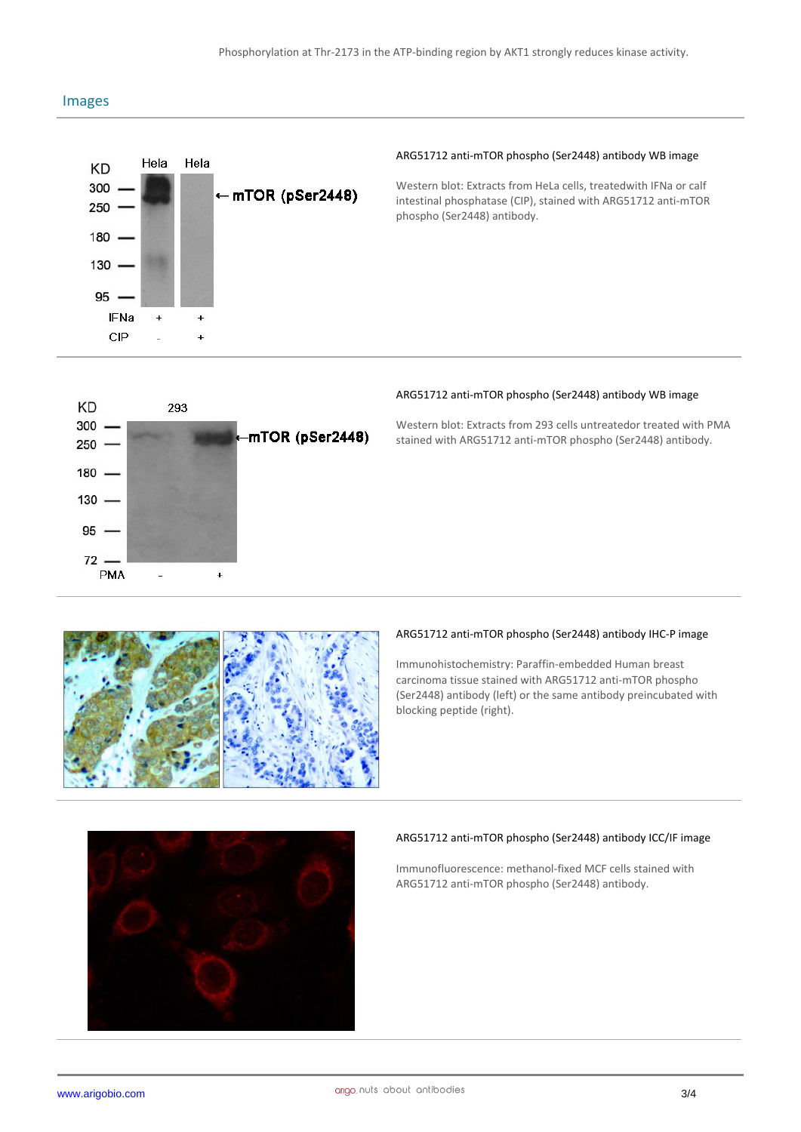### Images



#### **ARG51712 anti-mTOR phospho (Ser2448) antibody WB image**

Western blot: Extracts from HeLa cells, treatedwith IFNa or calf intestinal phosphatase (CIP), stained with ARG51712 anti-mTOR phospho (Ser2448) antibody.



#### **ARG51712 anti-mTOR phospho (Ser2448) antibody WB image**

Western blot: Extracts from 293 cells untreatedor treated with PMA stained with ARG51712 anti-mTOR phospho (Ser2448) antibody.



#### **ARG51712 anti-mTOR phospho (Ser2448) antibody IHC-P image**

Immunohistochemistry: Paraffin-embedded Human breast carcinoma tissue stained with ARG51712 anti-mTOR phospho (Ser2448) antibody (left) or the same antibody preincubated with blocking peptide (right).



#### **ARG51712 anti-mTOR phospho (Ser2448) antibody ICC/IF image**

Immunofluorescence: methanol-fixed MCF cells stained with ARG51712 anti-mTOR phospho (Ser2448) antibody.